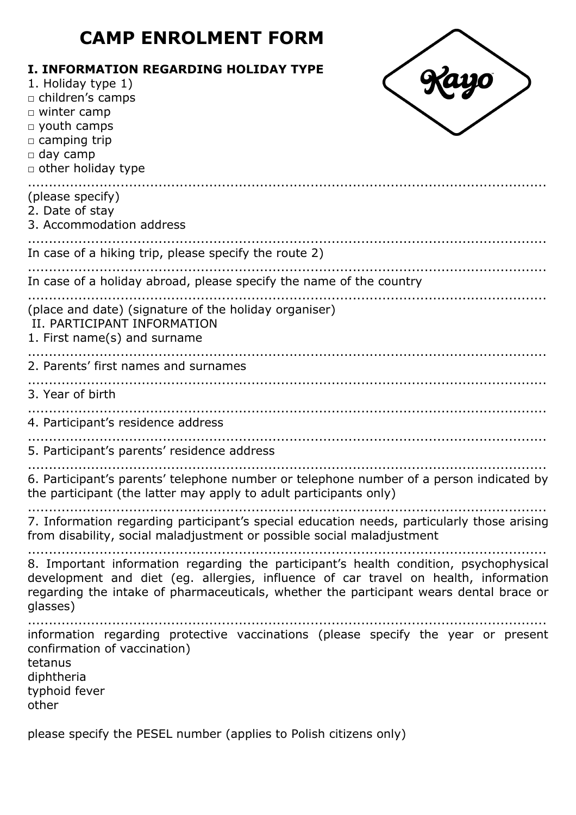# **CAMP ENROLMENT FORM**

| <b>I. INFORMATION REGARDING HOLIDAY TYPE</b><br>1. Holiday type 1)<br>$-57$<br>□ children's camps<br>□ winter camp<br>$\Box$ youth camps<br>□ camping trip<br>$\Box$ day camp<br>$\Box$ other holiday type                                                                         |
|------------------------------------------------------------------------------------------------------------------------------------------------------------------------------------------------------------------------------------------------------------------------------------|
| (please specify)<br>2. Date of stay<br>3. Accommodation address                                                                                                                                                                                                                    |
| In case of a hiking trip, please specify the route 2)                                                                                                                                                                                                                              |
| In case of a holiday abroad, please specify the name of the country                                                                                                                                                                                                                |
| (place and date) (signature of the holiday organiser)<br>II. PARTICIPANT INFORMATION<br>1. First name(s) and surname                                                                                                                                                               |
| 2. Parents' first names and surnames                                                                                                                                                                                                                                               |
| 3. Year of birth                                                                                                                                                                                                                                                                   |
| 4. Participant's residence address                                                                                                                                                                                                                                                 |
| 5. Participant's parents' residence address                                                                                                                                                                                                                                        |
| 6. Participant's parents' telephone number or telephone number of a person indicated by<br>the participant (the latter may apply to adult participants only)                                                                                                                       |
| 7. Information regarding participant's special education needs, particularly those arising<br>from disability, social maladjustment or possible social maladjustment                                                                                                               |
| 8. Important information regarding the participant's health condition, psychophysical<br>development and diet (eg. allergies, influence of car travel on health, information<br>regarding the intake of pharmaceuticals, whether the participant wears dental brace or<br>glasses) |
| information regarding protective vaccinations (please specify the year or present<br>confirmation of vaccination)<br>tetanus<br>diphtheria<br>typhoid fever<br>other                                                                                                               |
| please specify the PESEL number (applies to Polish citizens only)                                                                                                                                                                                                                  |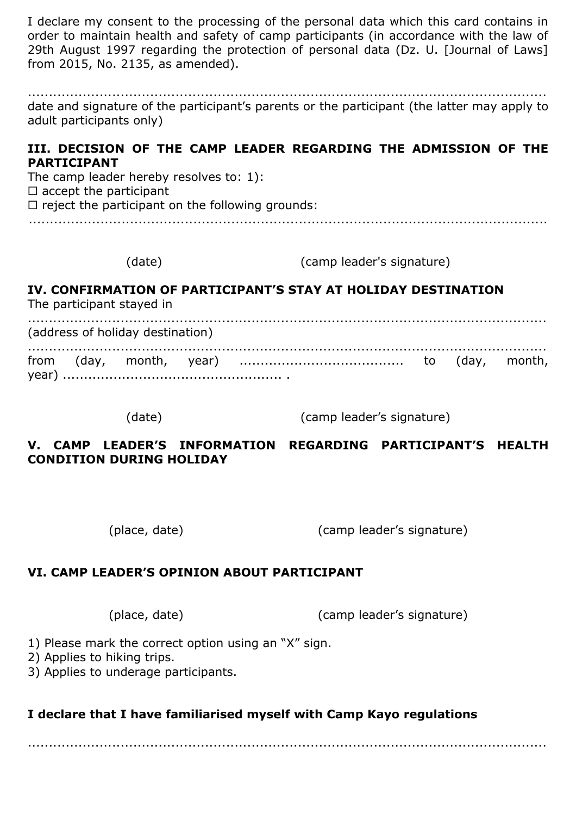I declare my consent to the processing of the personal data which this card contains in order to maintain health and safety of camp participants (in accordance with the law of 29th August 1997 regarding the protection of personal data (Dz. U. [Journal of Laws] from 2015, No. 2135, as amended).

........................................................................................................................... date and signature of the participant's parents or the participant (the latter may apply to adult participants only)

#### **III. DECISION OF THE CAMP LEADER REGARDING THE ADMISSION OF THE PARTICIPANT**

The camp leader hereby resolves to: 1):

 $\square$  accept the participant

 $\Box$  reject the participant on the following grounds:

...........................................................................................................................

(date) (camp leader's signature)

### **IV. CONFIRMATION OF PARTICIPANT'S STAY AT HOLIDAY DESTINATION**

The participant stayed in

........................................................................................................................... (address of holiday destination) ........................................................................................................................... from (day, month, year) ....................................... to (day, month, year) .................................................... .

(date) (camp leader's signature)

### **V. CAMP LEADER'S INFORMATION REGARDING PARTICIPANT'S HEALTH CONDITION DURING HOLIDAY**

(place, date) (camp leader's signature)

## **VI. CAMP LEADER'S OPINION ABOUT PARTICIPANT**

(place, date) (camp leader's signature)

1) Please mark the correct option using an "X" sign.

2) Applies to hiking trips.

3) Applies to underage participants.

## **I declare that I have familiarised myself with Camp Kayo regulations**

...........................................................................................................................